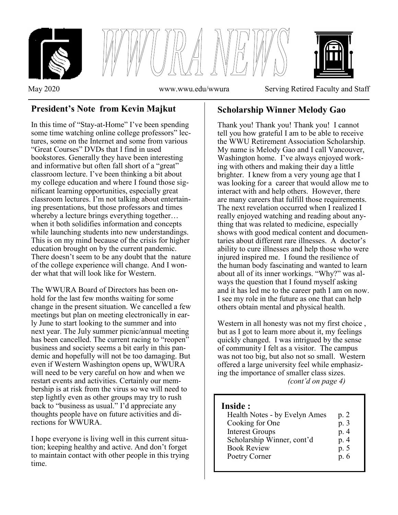

# **President's Note from Kevin Majkut**

In this time of "Stay-at-Home" I've been spending some time watching online college professors" lectures, some on the Internet and some from various "Great Courses" DVDs that I find in used bookstores. Generally they have been interesting and informative but often fall short of a "great" classroom lecture. I've been thinking a bit about my college education and where I found those significant learning opportunities, especially great classroom lectures. I'm not talking about entertaining presentations, but those professors and times whereby a lecture brings everything together… when it both solidifies information and concepts while launching students into new understandings. This is on my mind because of the crisis for higher education brought on by the current pandemic. There doesn't seem to be any doubt that the nature of the college experience will change. And I wonder what that will look like for Western.

The WWURA Board of Directors has been onhold for the last few months waiting for some change in the present situation. We cancelled a few meetings but plan on meeting electronically in early June to start looking to the summer and into next year. The July summer picnic/annual meeting has been cancelled. The current racing to "reopen" business and society seems a bit early in this pandemic and hopefully will not be too damaging. But even if Western Washington opens up, WWURA will need to be very careful on how and when we restart events and activities. Certainly our membership is at risk from the virus so we will need to step lightly even as other groups may try to rush back to "business as usual." I'd appreciate any thoughts people have on future activities and directions for WWURA.

I hope everyone is living well in this current situation; keeping healthy and active. And don't forget to maintain contact with other people in this trying time.

## **Scholarship Winner Melody Gao**

Thank you! Thank you! Thank you! I cannot tell you how grateful I am to be able to receive the WWU Retirement Association Scholarship. My name is Melody Gao and I call Vancouver, Washington home. I've always enjoyed working with others and making their day a little brighter. I knew from a very young age that I was looking for a career that would allow me to interact with and help others. However, there are many careers that fulfill those requirements. The next revelation occurred when I realized I really enjoyed watching and reading about anything that was related to medicine, especially shows with good medical content and documentaries about different rare illnesses. A doctor's ability to cure illnesses and help those who were injured inspired me. I found the resilience of the human body fascinating and wanted to learn about all of its inner workings. "Why?" was always the question that I found myself asking and it has led me to the career path I am on now. I see my role in the future as one that can help others obtain mental and physical health.

Western in all honesty was not my first choice , but as I got to learn more about it, my feelings quickly changed. I was intrigued by the sense of community I felt as a visitor. The campus was not too big, but also not so small. Western offered a large university feel while emphasizing the importance of smaller class sizes. *(cont'd on page 4)*

## **Inside :**

i

| Health Notes - by Evelyn Ames | p. 2 |
|-------------------------------|------|
| Cooking for One               | p. 3 |
| <b>Interest Groups</b>        | p. 4 |
| Scholarship Winner, cont'd    | p. 4 |
| <b>Book Review</b>            | p. 5 |
| Poetry Corner                 | p.6  |
|                               |      |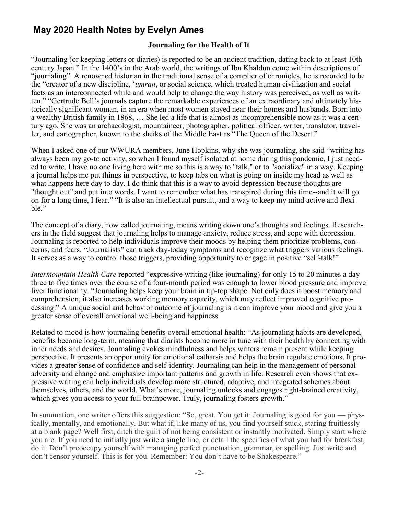# **May 2020 Health Notes by Evelyn Ames**

### **Journaling for the Health of It**

"Journaling (or keeping letters or diaries) is reported to be an ancient tradition, dating back to at least 10th century Japan." In the 1400's in the Arab world, the writings of Ibn Khaldun come within descriptions of "journaling". A renowned historian in the traditional sense of a complier of chronicles, he is recorded to be the "creator of a new discipline, '*umran*, or social science, which treated human civilization and social facts as an interconnected while and would help to change the way history was perceived, as well as written." "Gertrude Bell's journals capture the remarkable experiences of an extraordinary and ultimately historically significant woman, in an era when most women stayed near their homes and husbands. Born into a wealthy British family in 1868, … She led a life that is almost as incomprehensible now as it was a century ago. She was an archaeologist, mountaineer, photographer, political officer, writer, translator, traveller, and cartographer, known to the sheiks of the Middle East as "The Queen of the Desert."

When I asked one of our WWURA members, June Hopkins, why she was journaling, she said "writing has always been my go-to activity, so when I found myself isolated at home during this pandemic, I just needed to write. I have no one living here with me so this is a way to "talk," or to "socialize" in a way. Keeping a journal helps me put things in perspective, to keep tabs on what is going on inside my head as well as what happens here day to day. I do think that this is a way to avoid depression because thoughts are "thought out" and put into words. I want to remember what has transpired during this time--and it will go on for a long time, I fear." "It is also an intellectual pursuit, and a way to keep my mind active and flexible."

The concept of a diary, now called journaling, means writing down one's thoughts and feelings. Researchers in the field suggest that journaling helps to manage anxiety, reduce stress, and cope with depression. Journaling is reported to help individuals improve their moods by helping them prioritize problems, concerns, and fears. "Journalists" can track day-today symptoms and recognize what triggers various feelings. It serves as a way to control those triggers, providing opportunity to engage in positive "self-talk!"

*Intermountain Health Care* reported "expressive writing (like journaling) for only 15 to 20 minutes a day three to five times over the course of a four-month period was enough to lower blood pressure and improve liver functionality. "Journaling helps keep your brain in tip-top shape. Not only does it boost memory and comprehension, it also increases working memory capacity, which may reflect improved cognitive processing." A unique social and behavior outcome of journaling is it can improve your mood and give you a greater sense of overall emotional well-being and happiness.

Related to mood is how journaling benefits overall emotional health: "As journaling habits are developed, benefits become long-term, meaning that diarists become more in tune with their health by connecting with inner needs and desires. Journaling evokes mindfulness and helps writers remain present while keeping perspective. It presents an opportunity for emotional catharsis and helps the brain regulate emotions. It provides a greater sense of confidence and self-identity. Journaling can help in the management of personal adversity and change and emphasize important patterns and growth in life. Research even shows that expressive writing can help individuals develop more structured, adaptive, and integrated schemes about themselves, others, and the world. What's more, journaling unlocks and engages right-brained creativity, which gives you access to your full brainpower. Truly, journaling fosters growth."

In summation, one writer offers this suggestion: "So, great. You get it: Journaling is good for you — physically, mentally, and emotionally. But what if, like many of us, you find yourself stuck, staring fruitlessly at a blank page? Well first, ditch the guilt of not being consistent or instantly motivated. Simply start where you are. If you need to initially just write a single line, or detail the specifics of what you had for breakfast, do it. Don't preoccupy yourself with managing perfect punctuation, grammar, or spelling. Just write and don't censor yourself. This is for you. Remember: You don't have to be Shakespeare."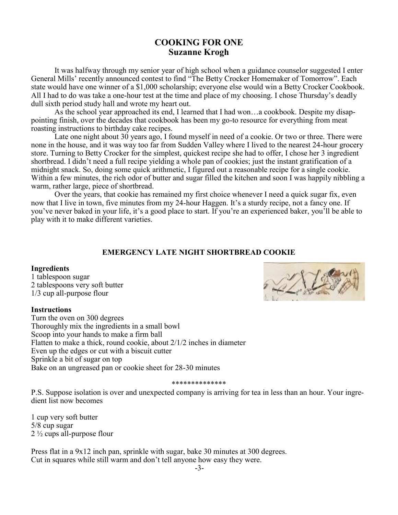## **COOKING FOR ONE Suzanne Krogh**

It was halfway through my senior year of high school when a guidance counselor suggested I enter General Mills' recently announced contest to find "The Betty Crocker Homemaker of Tomorrow". Each state would have one winner of a \$1,000 scholarship; everyone else would win a Betty Crocker Cookbook. All I had to do was take a one-hour test at the time and place of my choosing. I chose Thursday's deadly dull sixth period study hall and wrote my heart out.

As the school year approached its end, I learned that I had won…a cookbook. Despite my disappointing finish, over the decades that cookbook has been my go-to resource for everything from meat roasting instructions to birthday cake recipes.

Late one night about 30 years ago, I found myself in need of a cookie. Or two or three. There were none in the house, and it was way too far from Sudden Valley where I lived to the nearest 24-hour grocery store. Turning to Betty Crocker for the simplest, quickest recipe she had to offer, I chose her 3 ingredient shortbread. I didn't need a full recipe yielding a whole pan of cookies; just the instant gratification of a midnight snack. So, doing some quick arithmetic, I figured out a reasonable recipe for a single cookie. Within a few minutes, the rich odor of butter and sugar filled the kitchen and soon I was happily nibbling a warm, rather large, piece of shortbread.

Over the years, that cookie has remained my first choice whenever I need a quick sugar fix, even now that I live in town, five minutes from my 24-hour Haggen. It's a sturdy recipe, not a fancy one. If you've never baked in your life, it's a good place to start. If you're an experienced baker, you'll be able to play with it to make different varieties.

### **EMERGENCY LATE NIGHT SHORTBREAD COOKIE**

#### **Ingredients**

1 tablespoon sugar 2 tablespoons very soft butter 1/3 cup all-purpose flour

#### **Instructions**

Turn the oven on 300 degrees Thoroughly mix the ingredients in a small bowl Scoop into your hands to make a firm ball Flatten to make a thick, round cookie, about 2/1/2 inches in diameter Even up the edges or cut with a biscuit cutter Sprinkle a bit of sugar on top Bake on an ungreased pan or cookie sheet for 28-30 minutes

#### \*\*\*\*\*\*\*\*\*\*\*\*\*\*

P.S. Suppose isolation is over and unexpected company is arriving for tea in less than an hour. Your ingredient list now becomes

1 cup very soft butter 5/8 cup sugar 2 ½ cups all-purpose flour

Press flat in a 9x12 inch pan, sprinkle with sugar, bake 30 minutes at 300 degrees. Cut in squares while still warm and don't tell anyone how easy they were.

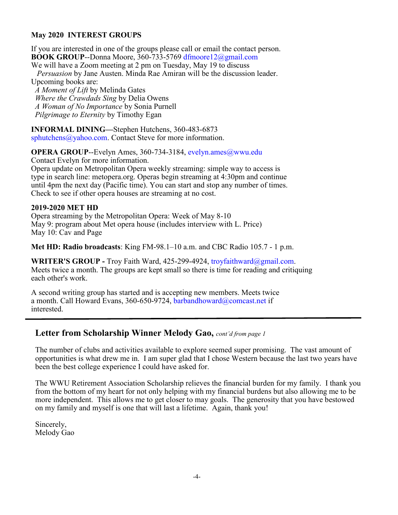## **May 2020 INTEREST GROUPS**

If you are interested in one of the groups please call or email the contact person. **BOOK GROUP**--Donna Moore, 360-733-5769 dfmoore12@gmail.com

We will have a Zoom meeting at 2 pm on Tuesday, May 19 to discuss  *Persuasion* by Jane Austen. Minda Rae Amiran will be the discussion leader. Upcoming books are:

 *A Moment of Lift* by Melinda Gates  *Where the Crawdads Sing* by Delia Owens  *A Woman of No Importance* by Sonia Purnell  *Pilgrimage to Eternity* by Timothy Egan

**INFORMAL DINING—**Stephen Hutchens, 360-483-6873 sphutchens@yahoo.com. Contact Steve for more information.

**OPERA GROUP--Evelyn Ames, 360-734-3184, evelyn.ames@wwu.edu** Contact Evelyn for more information.

Opera update on Metropolitan Opera weekly streaming: simple way to access is type in search line: metopera.org. Operas begin streaming at 4:30pm and continue until 4pm the next day (Pacific time). You can start and stop any number of times. Check to see if other opera houses are streaming at no cost.

### **2019-2020 MET HD**

Opera streaming by the Metropolitan Opera: Week of May 8-10 May 9: program about Met opera house (includes interview with L. Price) May 10: Cav and Page

**Met HD: Radio broadcasts**: King FM-98.1–10 a.m. and CBC Radio 105.7 - 1 p.m.

**WRITER'S GROUP -** Troy Faith Ward, 425-299-4924, troyfaithward@gmail.com. Meets twice a month. The groups are kept small so there is time for reading and critiquing each other's work.

A second writing group has started and is accepting new members. Meets twice a month. Call Howard Evans, 360-650-9724, barbandhoward@comcast.net if interested.

## **Letter from Scholarship Winner Melody Gao,** *cont'd from page 1*

The number of clubs and activities available to explore seemed super promising. The vast amount of opportunities is what drew me in. I am super glad that I chose Western because the last two years have been the best college experience I could have asked for.

The WWU Retirement Association Scholarship relieves the financial burden for my family. I thank you from the bottom of my heart for not only helping with my financial burdens but also allowing me to be more independent. This allows me to get closer to may goals. The generosity that you have bestowed on my family and myself is one that will last a lifetime. Again, thank you!

Sincerely, Melody Gao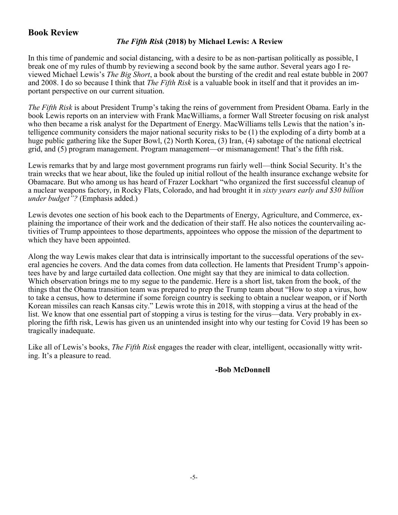## **Book Review**

## *The Fifth Risk* **(2018) by Michael Lewis: A Review**

In this time of pandemic and social distancing, with a desire to be as non-partisan politically as possible, I break one of my rules of thumb by reviewing a second book by the same author. Several years ago I reviewed Michael Lewis's *The Big Short*, a book about the bursting of the credit and real estate bubble in 2007 and 2008. I do so because I think that *The Fifth Risk* is a valuable book in itself and that it provides an important perspective on our current situation.

*The Fifth Risk* is about President Trump's taking the reins of government from President Obama. Early in the book Lewis reports on an interview with Frank MacWilliams, a former Wall Streeter focusing on risk analyst who then became a risk analyst for the Department of Energy. MacWilliams tells Lewis that the nation's intelligence community considers the major national security risks to be (1) the exploding of a dirty bomb at a huge public gathering like the Super Bowl, (2) North Korea, (3) Iran, (4) sabotage of the national electrical grid, and (5) program management. Program management—or mismanagement! That's the fifth risk.

Lewis remarks that by and large most government programs run fairly well—think Social Security. It's the train wrecks that we hear about, like the fouled up initial rollout of the health insurance exchange website for Obamacare. But who among us has heard of Frazer Lockhart "who organized the first successful cleanup of a nuclear weapons factory, in Rocky Flats, Colorado, and had brought it in *sixty years early and \$30 billion under budget"?* (Emphasis added.)

Lewis devotes one section of his book each to the Departments of Energy, Agriculture, and Commerce, explaining the importance of their work and the dedication of their staff. He also notices the countervailing activities of Trump appointees to those departments, appointees who oppose the mission of the department to which they have been appointed.

Along the way Lewis makes clear that data is intrinsically important to the successful operations of the several agencies he covers. And the data comes from data collection. He laments that President Trump's appointees have by and large curtailed data collection. One might say that they are inimical to data collection. Which observation brings me to my segue to the pandemic. Here is a short list, taken from the book, of the things that the Obama transition team was prepared to prep the Trump team about "How to stop a virus, how to take a census, how to determine if some foreign country is seeking to obtain a nuclear weapon, or if North Korean missiles can reach Kansas city." Lewis wrote this in 2018, with stopping a virus at the head of the list. We know that one essential part of stopping a virus is testing for the virus—data. Very probably in exploring the fifth risk, Lewis has given us an unintended insight into why our testing for Covid 19 has been so tragically inadequate.

Like all of Lewis's books, *The Fifth Risk* engages the reader with clear, intelligent, occasionally witty writing. It's a pleasure to read.

## **-Bob McDonnell**